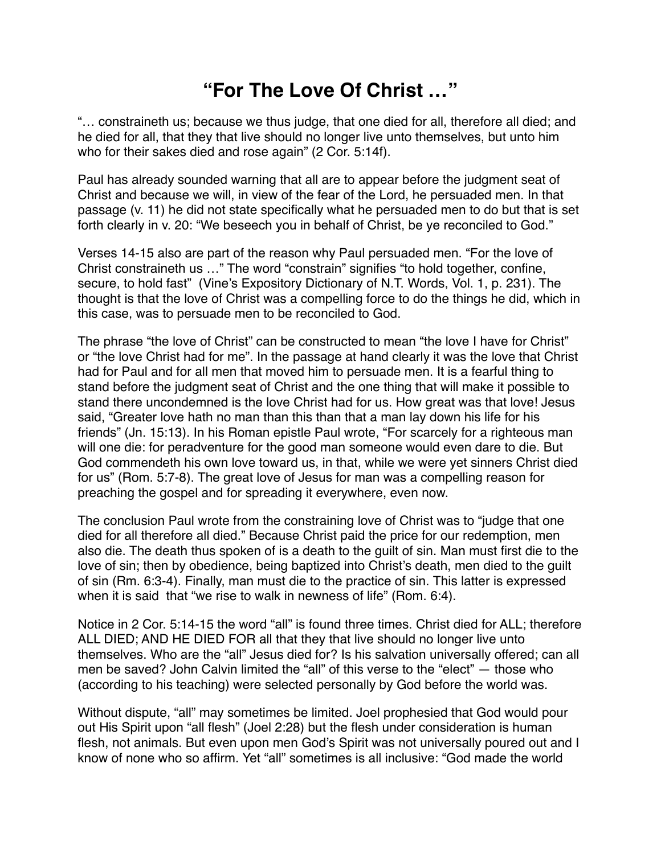## **"For The Love Of Christ …"**

"… constraineth us; because we thus judge, that one died for all, therefore all died; and he died for all, that they that live should no longer live unto themselves, but unto him who for their sakes died and rose again" (2 Cor. 5:14f).

Paul has already sounded warning that all are to appear before the judgment seat of Christ and because we will, in view of the fear of the Lord, he persuaded men. In that passage (v. 11) he did not state specifically what he persuaded men to do but that is set forth clearly in v. 20: "We beseech you in behalf of Christ, be ye reconciled to God."

Verses 14-15 also are part of the reason why Paul persuaded men. "For the love of Christ constraineth us …" The word "constrain" signifies "to hold together, confine, secure, to hold fast" (Vine's Expository Dictionary of N.T. Words, Vol. 1, p. 231). The thought is that the love of Christ was a compelling force to do the things he did, which in this case, was to persuade men to be reconciled to God.

The phrase "the love of Christ" can be constructed to mean "the love I have for Christ" or "the love Christ had for me". In the passage at hand clearly it was the love that Christ had for Paul and for all men that moved him to persuade men. It is a fearful thing to stand before the judgment seat of Christ and the one thing that will make it possible to stand there uncondemned is the love Christ had for us. How great was that love! Jesus said, "Greater love hath no man than this than that a man lay down his life for his friends" (Jn. 15:13). In his Roman epistle Paul wrote, "For scarcely for a righteous man will one die: for peradventure for the good man someone would even dare to die. But God commendeth his own love toward us, in that, while we were yet sinners Christ died for us" (Rom. 5:7-8). The great love of Jesus for man was a compelling reason for preaching the gospel and for spreading it everywhere, even now.

The conclusion Paul wrote from the constraining love of Christ was to "judge that one died for all therefore all died." Because Christ paid the price for our redemption, men also die. The death thus spoken of is a death to the guilt of sin. Man must first die to the love of sin; then by obedience, being baptized into Christ's death, men died to the guilt of sin (Rm. 6:3-4). Finally, man must die to the practice of sin. This latter is expressed when it is said that "we rise to walk in newness of life" (Rom. 6:4).

Notice in 2 Cor. 5:14-15 the word "all" is found three times. Christ died for ALL; therefore ALL DIED; AND HE DIED FOR all that they that live should no longer live unto themselves. Who are the "all" Jesus died for? Is his salvation universally offered; can all men be saved? John Calvin limited the "all" of this verse to the "elect" — those who (according to his teaching) were selected personally by God before the world was.

Without dispute, "all" may sometimes be limited. Joel prophesied that God would pour out His Spirit upon "all flesh" (Joel 2:28) but the flesh under consideration is human flesh, not animals. But even upon men God's Spirit was not universally poured out and I know of none who so affirm. Yet "all" sometimes is all inclusive: "God made the world